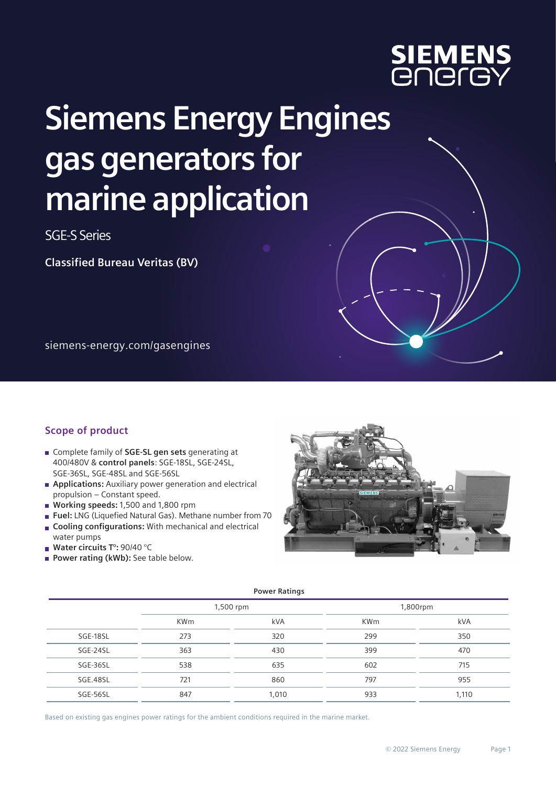

## **Siemens Energy Engines gas generators for marine application**

SGE-S Series

**Classified Bureau Veritas (BV)**

siemens-energy.com/gasengines

## **Scope of product**

- Complete family of **SGE-SL gen sets** generating at 400/480V & **control panels**: SGE-18SL, SGE-24SL, SGE-36SL, SGE-48SL and SGE-56SL
- **Applications:** Auxiliary power generation and electrical propulsion – Constant speed.
- **Working speeds:** 1,500 and 1,800 rpm
- **Fuel:** LNG (Liquefied Natural Gas). Methane number from 70
- **Cooling configurations:** With mechanical and electrical  $\overline{\phantom{a}}$ water pumps
- **Water circuits T°:** 90/40 °C
- **Power rating (kWb):** See table below.



|          |            | <b>Power Ratings</b> |            |       |
|----------|------------|----------------------|------------|-------|
|          | 1,500 rpm  |                      | 1,800rpm   |       |
|          | <b>KWm</b> | <b>kVA</b>           | <b>KWm</b> | kVA   |
| SGE-18SL | 273        | 320                  | 299        | 350   |
| SGE-24SL | 363        | 430                  | 399        | 470   |
| SGE-36SL | 538        | 635                  | 602        | 715   |
| SGE.48SL | 721        | 860                  | 797        | 955   |
| SGE-56SL | 847        | 1,010                | 933        | 1,110 |

Based on existing gas engines power ratings for the ambient conditions required in the marine market.